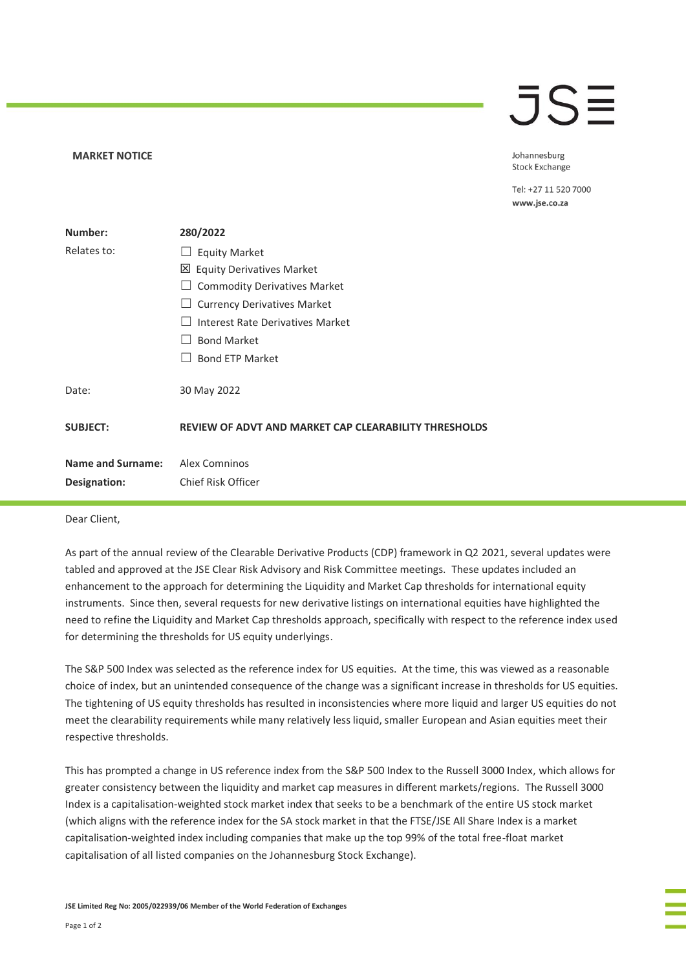## **JSE**

## **MARKET NOTICE**

Johannesburg **Stock Exchange** 

Tel: +27 11 520 7000 www.jse.co.za

| Number:                  | 280/2022                                                     |
|--------------------------|--------------------------------------------------------------|
| Relates to:              | <b>Equity Market</b>                                         |
|                          | 凶 Equity Derivatives Market                                  |
|                          | <b>Commodity Derivatives Market</b>                          |
|                          | <b>Currency Derivatives Market</b>                           |
|                          | Interest Rate Derivatives Market                             |
|                          | <b>Bond Market</b>                                           |
|                          | <b>Bond ETP Market</b>                                       |
| Date:                    | 30 May 2022                                                  |
| <b>SUBJECT:</b>          | <b>REVIEW OF ADVT AND MARKET CAP CLEARABILITY THRESHOLDS</b> |
|                          |                                                              |
| <b>Name and Surname:</b> | Alex Comninos                                                |
| Designation:             | Chief Risk Officer                                           |
|                          |                                                              |

## Dear Client,

As part of the annual review of the Clearable Derivative Products (CDP) framework in Q2 2021, several updates were tabled and approved at the JSE Clear Risk Advisory and Risk Committee meetings. These updates included an enhancement to the approach for determining the Liquidity and Market Cap thresholds for international equity instruments. Since then, several requests for new derivative listings on international equities have highlighted the need to refine the Liquidity and Market Cap thresholds approach, specifically with respect to the reference index used for determining the thresholds for US equity underlyings.

The S&P 500 Index was selected as the reference index for US equities. At the time, this was viewed as a reasonable choice of index, but an unintended consequence of the change was a significant increase in thresholds for US equities. The tightening of US equity thresholds has resulted in inconsistencies where more liquid and larger US equities do not meet the clearability requirements while many relatively less liquid, smaller European and Asian equities meet their respective thresholds.

This has prompted a change in US reference index from the S&P 500 Index to the Russell 3000 Index, which allows for greater consistency between the liquidity and market cap measures in different markets/regions. The Russell 3000 Index is a capitalisation-weighted stock market index that seeks to be a benchmark of the entire US stock market (which aligns with the reference index for the SA stock market in that the FTSE/JSE All Share Index is a market capitalisation-weighted index including companies that make up the top 99% of the total free-float market capitalisation of all listed companies on the Johannesburg Stock Exchange).